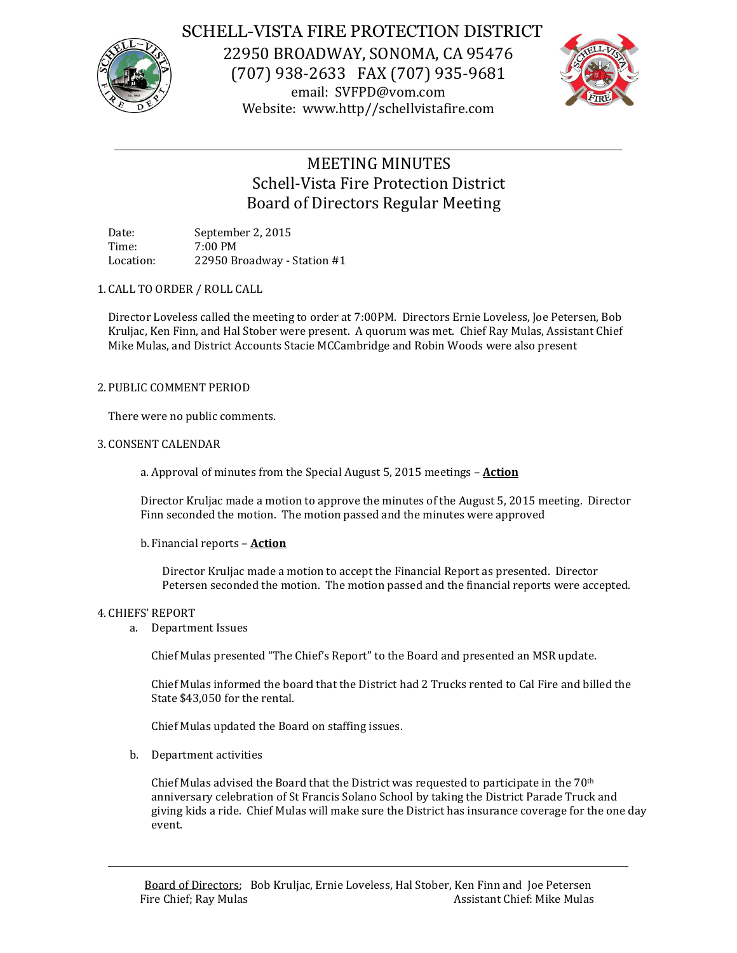

# SCHELL-VISTA FIRE PROTECTION DISTRICT

22950 BROADWAY, SONOMA, CA 95476 (707) 938-2633 FAX (707) 935-9681 email: SVFPD@vom.com Website: www.http//schellvistafire.com



# MEETING MINUTES Schell-Vista Fire Protection District Board of Directors Regular Meeting

Date: September 2, 2015 Time: 7:00 PM Location: 22950 Broadway - Station #1

1. CALL TO ORDER / ROLL CALL

Director Loveless called the meeting to order at 7:00PM. Directors Ernie Loveless, Joe Petersen, Bob Kruljac, Ken Finn, and Hal Stober were present. A quorum was met. Chief Ray Mulas, Assistant Chief Mike Mulas, and District Accounts Stacie MCCambridge and Robin Woods were also present

# 2. PUBLIC COMMENT PERIOD

There were no public comments.

# 3. CONSENT CALENDAR

a. Approval of minutes from the Special August 5, 2015 meetings – **Action**

Director Kruljac made a motion to approve the minutes of the August 5, 2015 meeting. Director Finn seconded the motion. The motion passed and the minutes were approved

b. Financial reports – **Action**

Director Kruljac made a motion to accept the Financial Report as presented. Director Petersen seconded the motion. The motion passed and the financial reports were accepted.

# 4. CHIEFS' REPORT

a. Department Issues

Chief Mulas presented "The Chief's Report" to the Board and presented an MSR update.

Chief Mulas informed the board that the District had 2 Trucks rented to Cal Fire and billed the State \$43,050 for the rental.

Chief Mulas updated the Board on staffing issues.

b. Department activities

Chief Mulas advised the Board that the District was requested to participate in the  $70<sup>th</sup>$ anniversary celebration of St Francis Solano School by taking the District Parade Truck and giving kids a ride. Chief Mulas will make sure the District has insurance coverage for the one day event.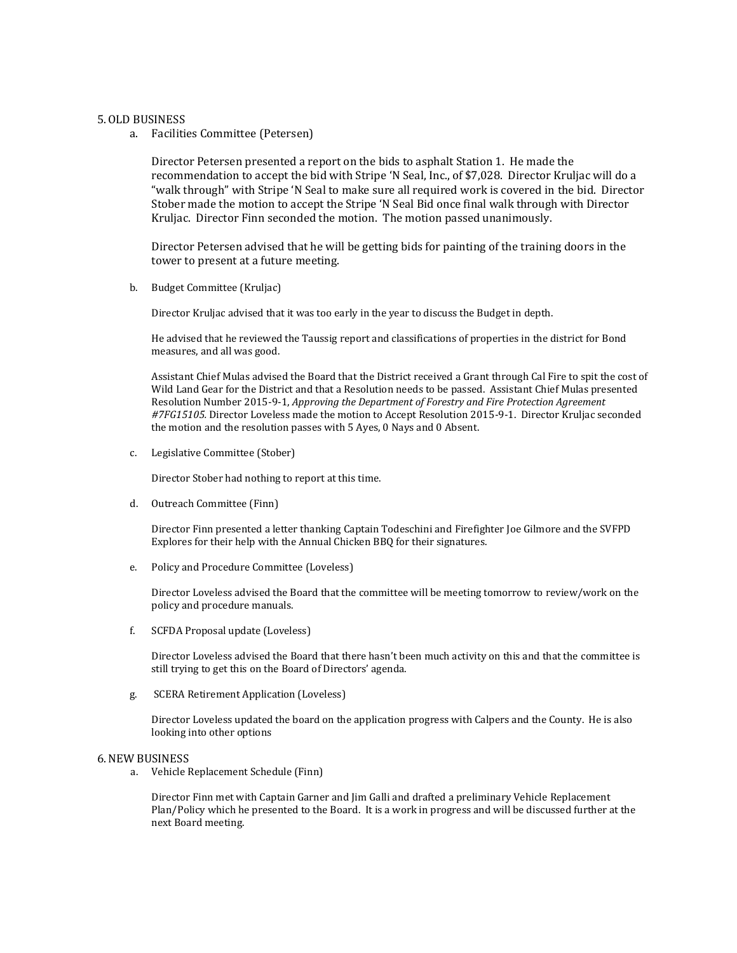### 5.OLD BUSINESS

a. Facilities Committee (Petersen)

Director Petersen presented a report on the bids to asphalt Station 1. He made the recommendation to accept the bid with Stripe 'N Seal, Inc., of \$7,028. Director Kruljac will do a "walk through" with Stripe 'N Seal to make sure all required work is covered in the bid. Director Stober made the motion to accept the Stripe 'N Seal Bid once final walk through with Director Kruljac. Director Finn seconded the motion. The motion passed unanimously.

Director Petersen advised that he will be getting bids for painting of the training doors in the tower to present at a future meeting.

b. Budget Committee (Kruljac)

Director Kruljac advised that it was too early in the year to discuss the Budget in depth.

He advised that he reviewed the Taussig report and classifications of properties in the district for Bond measures, and all was good.

Assistant Chief Mulas advised the Board that the District received a Grant through Cal Fire to spit the cost of Wild Land Gear for the District and that a Resolution needs to be passed. Assistant Chief Mulas presented Resolution Number 2015-9-1, *Approving the Department of Forestry and Fire Protection Agreement #7FG15105.* Director Loveless made the motion to Accept Resolution 2015-9-1. Director Kruljac seconded the motion and the resolution passes with 5 Ayes, 0 Nays and 0 Absent.

c. Legislative Committee (Stober)

Director Stober had nothing to report at this time.

d. Outreach Committee (Finn)

Director Finn presented a letter thanking Captain Todeschini and Firefighter Joe Gilmore and the SVFPD Explores for their help with the Annual Chicken BBQ for their signatures.

e. Policy and Procedure Committee (Loveless)

Director Loveless advised the Board that the committee will be meeting tomorrow to review/work on the policy and procedure manuals.

f. SCFDA Proposal update (Loveless)

Director Loveless advised the Board that there hasn't been much activity on this and that the committee is still trying to get this on the Board of Directors' agenda.

g. SCERA Retirement Application (Loveless)

Director Loveless updated the board on the application progress with Calpers and the County. He is also looking into other options

#### 6.NEW BUSINESS

a. Vehicle Replacement Schedule (Finn)

Director Finn met with Captain Garner and Jim Galli and drafted a preliminary Vehicle Replacement Plan/Policy which he presented to the Board. It is a work in progress and will be discussed further at the next Board meeting.